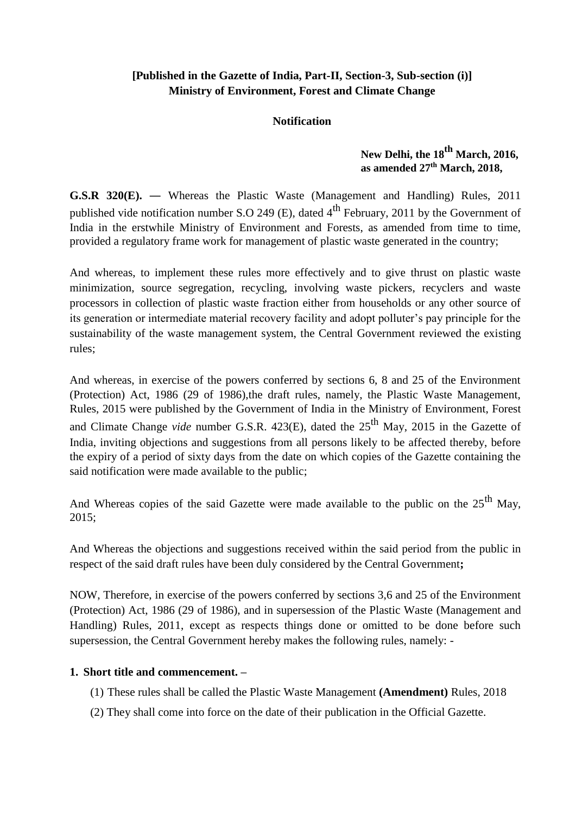# **[Published in the Gazette of India, Part-II, Section-3, Sub-section (i)] Ministry of Environment, Forest and Climate Change**

### **Notification**

# **New Delhi, the 18th March, 2016, as amended 27th March, 2018,**

**G.S.R 320(E). ―** Whereas the Plastic Waste (Management and Handling) Rules, 2011 published vide notification number S.O 249 (E), dated  $4<sup>th</sup>$  February, 2011 by the Government of India in the erstwhile Ministry of Environment and Forests, as amended from time to time, provided a regulatory frame work for management of plastic waste generated in the country;

And whereas, to implement these rules more effectively and to give thrust on plastic waste minimization, source segregation, recycling, involving waste pickers, recyclers and waste processors in collection of plastic waste fraction either from households or any other source of its generation or intermediate material recovery facility and adopt polluter's pay principle for the sustainability of the waste management system, the Central Government reviewed the existing rules;

And whereas, in exercise of the powers conferred by sections 6, 8 and 25 of the Environment (Protection) Act, 1986 (29 of 1986),the draft rules, namely, the Plastic Waste Management, Rules, 2015 were published by the Government of India in the Ministry of Environment, Forest and Climate Change *vide* number G.S.R.  $423(E)$ , dated the  $25<sup>th</sup>$  May, 2015 in the Gazette of India, inviting objections and suggestions from all persons likely to be affected thereby, before the expiry of a period of sixty days from the date on which copies of the Gazette containing the said notification were made available to the public;

And Whereas copies of the said Gazette were made available to the public on the  $25<sup>th</sup>$  May. 2015;

And Whereas the objections and suggestions received within the said period from the public in respect of the said draft rules have been duly considered by the Central Government**;**

NOW, Therefore, in exercise of the powers conferred by sections 3,6 and 25 of the Environment (Protection) Act, 1986 (29 of 1986), and in supersession of the Plastic Waste (Management and Handling) Rules, 2011, except as respects things done or omitted to be done before such supersession, the Central Government hereby makes the following rules, namely: -

## **1. Short title and commencement. –**

- (1) These rules shall be called the Plastic Waste Management **(Amendment)** Rules, 2018
- (2) They shall come into force on the date of their publication in the Official Gazette.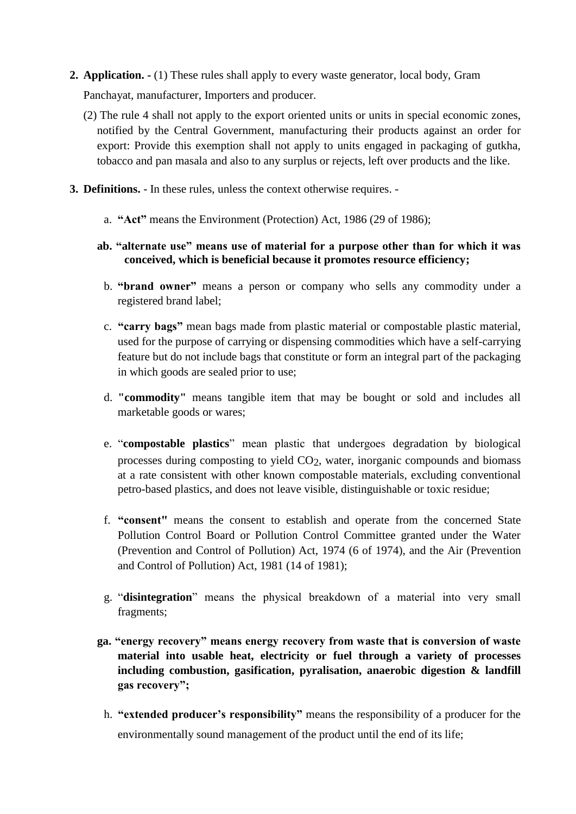**2. Application. -** (1) These rules shall apply to every waste generator, local body, Gram

Panchayat, manufacturer, Importers and producer.

- (2) The rule 4 shall not apply to the export oriented units or units in special economic zones, notified by the Central Government, manufacturing their products against an order for export: Provide this exemption shall not apply to units engaged in packaging of gutkha, tobacco and pan masala and also to any surplus or rejects, left over products and the like.
- **3. Definitions.** In these rules, unless the context otherwise requires.
	- a. **"Act"** means the Environment (Protection) Act, 1986 (29 of 1986);
	- **ab. "alternate use" means use of material for a purpose other than for which it was conceived, which is beneficial because it promotes resource efficiency;**
		- b. **"brand owner"** means a person or company who sells any commodity under a registered brand label;
		- c. **"carry bags"** mean bags made from plastic material or compostable plastic material, used for the purpose of carrying or dispensing commodities which have a self-carrying feature but do not include bags that constitute or form an integral part of the packaging in which goods are sealed prior to use;
		- d. **"commodity"** means tangible item that may be bought or sold and includes all marketable goods or wares;
		- e. "**compostable plastics**" mean plastic that undergoes degradation by biological processes during composting to yield CO2, water, inorganic compounds and biomass at a rate consistent with other known compostable materials, excluding conventional petro-based plastics, and does not leave visible, distinguishable or toxic residue;
		- f. **"consent"** means the consent to establish and operate from the concerned State Pollution Control Board or Pollution Control Committee granted under the Water (Prevention and Control of Pollution) Act, 1974 (6 of 1974), and the Air (Prevention and Control of Pollution) Act, 1981 (14 of 1981);
		- g. "**disintegration**" means the physical breakdown of a material into very small fragments;
	- **ga. "energy recovery" means energy recovery from waste that is conversion of waste material into usable heat, electricity or fuel through a variety of processes including combustion, gasification, pyralisation, anaerobic digestion & landfill gas recovery";**
	- h. **"extended producer's responsibility"** means the responsibility of a producer for the environmentally sound management of the product until the end of its life;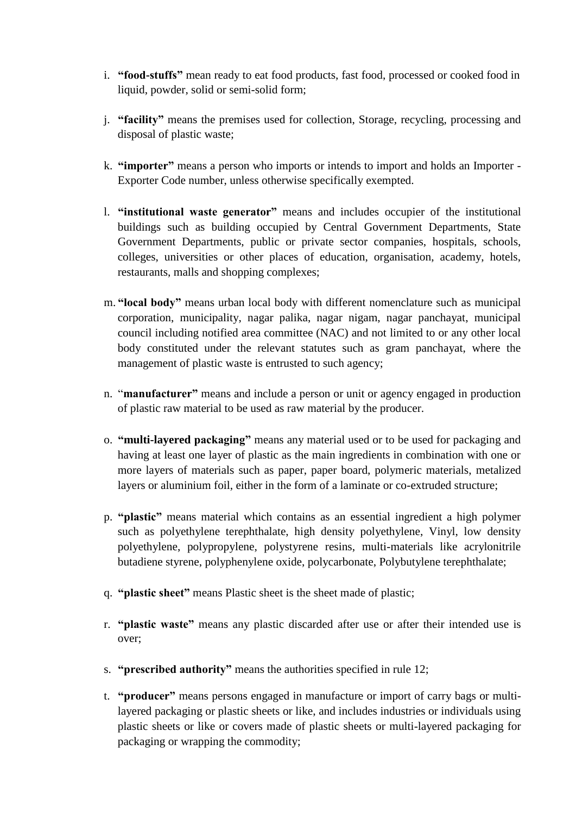- i. **"food-stuffs"** mean ready to eat food products, fast food, processed or cooked food in liquid, powder, solid or semi-solid form;
- j. **"facility"** means the premises used for collection, Storage, recycling, processing and disposal of plastic waste;
- k. **"importer"** means a person who imports or intends to import and holds an Importer Exporter Code number, unless otherwise specifically exempted.
- l. **"institutional waste generator"** means and includes occupier of the institutional buildings such as building occupied by Central Government Departments, State Government Departments, public or private sector companies, hospitals, schools, colleges, universities or other places of education, organisation, academy, hotels, restaurants, malls and shopping complexes;
- m. **"local body"** means urban local body with different nomenclature such as municipal corporation, municipality, nagar palika, nagar nigam, nagar panchayat, municipal council including notified area committee (NAC) and not limited to or any other local body constituted under the relevant statutes such as gram panchayat, where the management of plastic waste is entrusted to such agency;
- n. "**manufacturer"** means and include a person or unit or agency engaged in production of plastic raw material to be used as raw material by the producer.
- o. **"multi-layered packaging"** means any material used or to be used for packaging and having at least one layer of plastic as the main ingredients in combination with one or more layers of materials such as paper, paper board, polymeric materials, metalized layers or aluminium foil, either in the form of a laminate or co-extruded structure;
- p. **"plastic"** means material which contains as an essential ingredient a high polymer such as polyethylene terephthalate, high density polyethylene, Vinyl, low density polyethylene, polypropylene, polystyrene resins, multi-materials like acrylonitrile butadiene styrene, polyphenylene oxide, polycarbonate, Polybutylene terephthalate;
- q. **"plastic sheet"** means Plastic sheet is the sheet made of plastic;
- r. **"plastic waste"** means any plastic discarded after use or after their intended use is over;
- s. **"prescribed authority"** means the authorities specified in rule 12;
- t. **"producer"** means persons engaged in manufacture or import of carry bags or multilayered packaging or plastic sheets or like, and includes industries or individuals using plastic sheets or like or covers made of plastic sheets or multi-layered packaging for packaging or wrapping the commodity;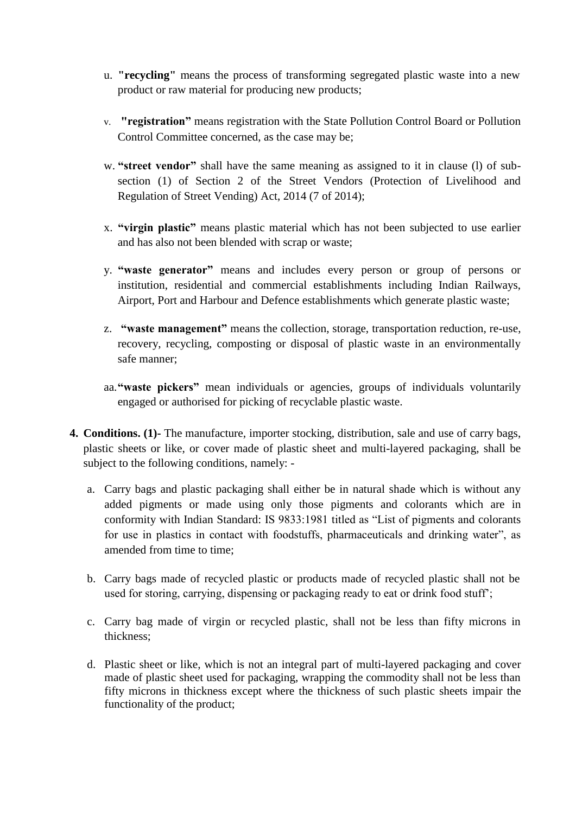- u. **"recycling"** means the process of transforming segregated plastic waste into a new product or raw material for producing new products;
- v. **"registration"** means registration with the State Pollution Control Board or Pollution Control Committee concerned, as the case may be;
- w. **"street vendor"** shall have the same meaning as assigned to it in clause (1) of subsection (1) of Section 2 of the Street Vendors (Protection of Livelihood and Regulation of Street Vending) Act, 2014 (7 of 2014);
- x. **"virgin plastic"** means plastic material which has not been subjected to use earlier and has also not been blended with scrap or waste;
- y. **"waste generator"** means and includes every person or group of persons or institution, residential and commercial establishments including Indian Railways, Airport, Port and Harbour and Defence establishments which generate plastic waste;
- z. **"waste management"** means the collection, storage, transportation reduction, re-use, recovery, recycling, composting or disposal of plastic waste in an environmentally safe manner;
- aa.**"waste pickers"** mean individuals or agencies, groups of individuals voluntarily engaged or authorised for picking of recyclable plastic waste.
- **4. Conditions. (1)-** The manufacture, importer stocking, distribution, sale and use of carry bags, plastic sheets or like, or cover made of plastic sheet and multi-layered packaging, shall be subject to the following conditions, namely:
	- a. Carry bags and plastic packaging shall either be in natural shade which is without any added pigments or made using only those pigments and colorants which are in conformity with Indian Standard: IS 9833:1981 titled as "List of pigments and colorants for use in plastics in contact with foodstuffs, pharmaceuticals and drinking water", as amended from time to time;
	- b. Carry bags made of recycled plastic or products made of recycled plastic shall not be used for storing, carrying, dispensing or packaging ready to eat or drink food stuff';
	- c. Carry bag made of virgin or recycled plastic, shall not be less than fifty microns in thickness;
	- d. Plastic sheet or like, which is not an integral part of multi-layered packaging and cover made of plastic sheet used for packaging, wrapping the commodity shall not be less than fifty microns in thickness except where the thickness of such plastic sheets impair the functionality of the product;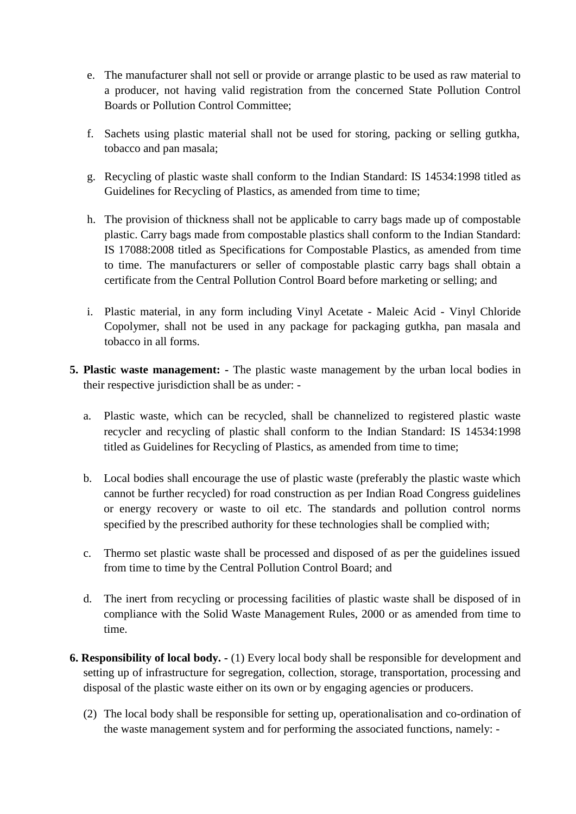- e. The manufacturer shall not sell or provide or arrange plastic to be used as raw material to a producer, not having valid registration from the concerned State Pollution Control Boards or Pollution Control Committee;
- f. Sachets using plastic material shall not be used for storing, packing or selling gutkha, tobacco and pan masala;
- g. Recycling of plastic waste shall conform to the Indian Standard: IS 14534:1998 titled as Guidelines for Recycling of Plastics, as amended from time to time;
- h. The provision of thickness shall not be applicable to carry bags made up of compostable plastic. Carry bags made from compostable plastics shall conform to the Indian Standard: IS 17088:2008 titled as Specifications for Compostable Plastics, as amended from time to time. The manufacturers or seller of compostable plastic carry bags shall obtain a certificate from the Central Pollution Control Board before marketing or selling; and
- i. Plastic material, in any form including Vinyl Acetate Maleic Acid Vinyl Chloride Copolymer, shall not be used in any package for packaging gutkha, pan masala and tobacco in all forms.
- **5. Plastic waste management: -** The plastic waste management by the urban local bodies in their respective jurisdiction shall be as under:
	- a. Plastic waste, which can be recycled, shall be channelized to registered plastic waste recycler and recycling of plastic shall conform to the Indian Standard: IS 14534:1998 titled as Guidelines for Recycling of Plastics, as amended from time to time;
	- b. Local bodies shall encourage the use of plastic waste (preferably the plastic waste which cannot be further recycled) for road construction as per Indian Road Congress guidelines or energy recovery or waste to oil etc. The standards and pollution control norms specified by the prescribed authority for these technologies shall be complied with;
	- c. Thermo set plastic waste shall be processed and disposed of as per the guidelines issued from time to time by the Central Pollution Control Board; and
	- d. The inert from recycling or processing facilities of plastic waste shall be disposed of in compliance with the Solid Waste Management Rules, 2000 or as amended from time to time.
- **6. Responsibility of local body. -** (1) Every local body shall be responsible for development and setting up of infrastructure for segregation, collection, storage, transportation, processing and disposal of the plastic waste either on its own or by engaging agencies or producers.
	- (2) The local body shall be responsible for setting up, operationalisation and co-ordination of the waste management system and for performing the associated functions, namely: -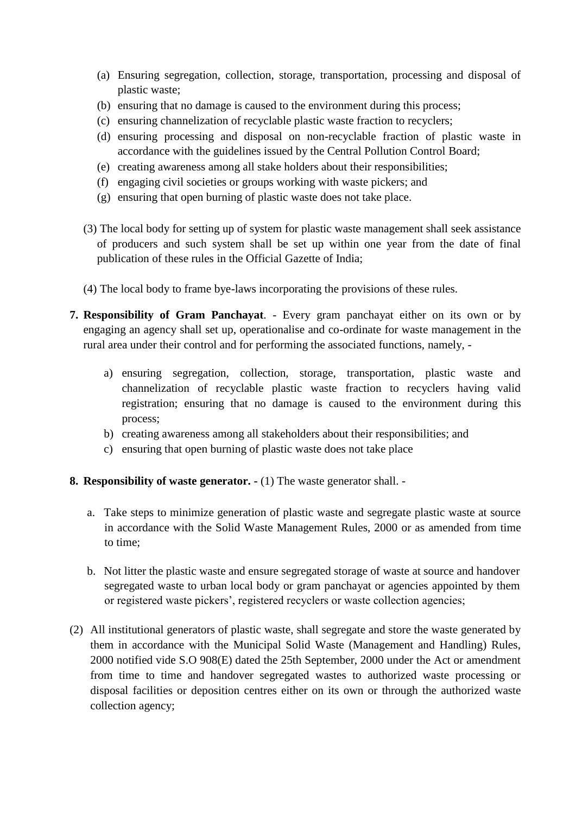- (a) Ensuring segregation, collection, storage, transportation, processing and disposal of plastic waste;
- (b) ensuring that no damage is caused to the environment during this process;
- (c) ensuring channelization of recyclable plastic waste fraction to recyclers;
- (d) ensuring processing and disposal on non-recyclable fraction of plastic waste in accordance with the guidelines issued by the Central Pollution Control Board;
- (e) creating awareness among all stake holders about their responsibilities;
- (f) engaging civil societies or groups working with waste pickers; and
- (g) ensuring that open burning of plastic waste does not take place.
- (3) The local body for setting up of system for plastic waste management shall seek assistance of producers and such system shall be set up within one year from the date of final publication of these rules in the Official Gazette of India;
- (4) The local body to frame bye-laws incorporating the provisions of these rules.
- **7. Responsibility of Gram Panchayat**. Every gram panchayat either on its own or by engaging an agency shall set up, operationalise and co-ordinate for waste management in the rural area under their control and for performing the associated functions, namely,
	- a) ensuring segregation, collection, storage, transportation, plastic waste and channelization of recyclable plastic waste fraction to recyclers having valid registration; ensuring that no damage is caused to the environment during this process;
	- b) creating awareness among all stakeholders about their responsibilities; and
	- c) ensuring that open burning of plastic waste does not take place
- **8. Responsibility of waste generator. -** (1) The waste generator shall.
	- a. Take steps to minimize generation of plastic waste and segregate plastic waste at source in accordance with the Solid Waste Management Rules, 2000 or as amended from time to time;
	- b. Not litter the plastic waste and ensure segregated storage of waste at source and handover segregated waste to urban local body or gram panchayat or agencies appointed by them or registered waste pickers', registered recyclers or waste collection agencies;
- (2) All institutional generators of plastic waste, shall segregate and store the waste generated by them in accordance with the Municipal Solid Waste (Management and Handling) Rules, 2000 notified vide S.O 908(E) dated the 25th September, 2000 under the Act or amendment from time to time and handover segregated wastes to authorized waste processing or disposal facilities or deposition centres either on its own or through the authorized waste collection agency;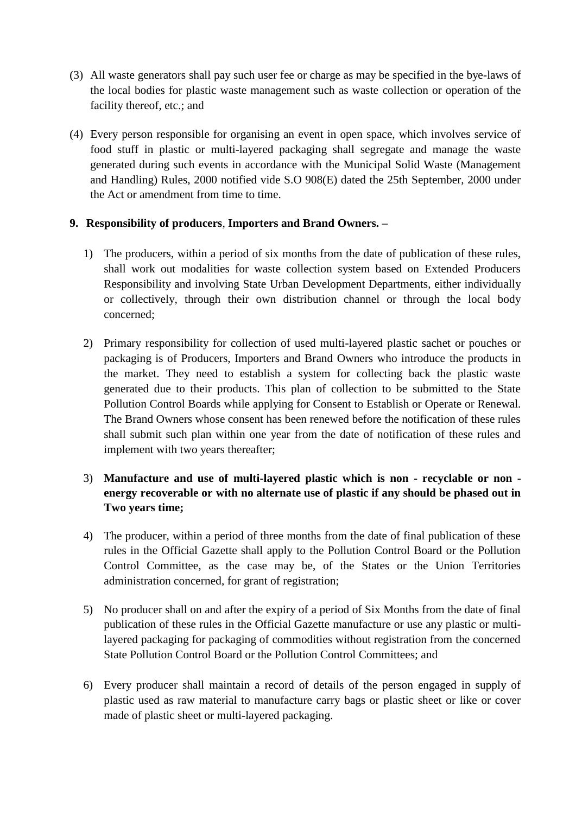- (3) All waste generators shall pay such user fee or charge as may be specified in the bye-laws of the local bodies for plastic waste management such as waste collection or operation of the facility thereof, etc.; and
- (4) Every person responsible for organising an event in open space, which involves service of food stuff in plastic or multi-layered packaging shall segregate and manage the waste generated during such events in accordance with the Municipal Solid Waste (Management and Handling) Rules, 2000 notified vide S.O 908(E) dated the 25th September, 2000 under the Act or amendment from time to time.

## **9. Responsibility of producers**, **Importers and Brand Owners. –**

- 1) The producers, within a period of six months from the date of publication of these rules, shall work out modalities for waste collection system based on Extended Producers Responsibility and involving State Urban Development Departments, either individually or collectively, through their own distribution channel or through the local body concerned;
- 2) Primary responsibility for collection of used multi-layered plastic sachet or pouches or packaging is of Producers, Importers and Brand Owners who introduce the products in the market. They need to establish a system for collecting back the plastic waste generated due to their products. This plan of collection to be submitted to the State Pollution Control Boards while applying for Consent to Establish or Operate or Renewal. The Brand Owners whose consent has been renewed before the notification of these rules shall submit such plan within one year from the date of notification of these rules and implement with two years thereafter;

# 3) **Manufacture and use of multi-layered plastic which is non - recyclable or non energy recoverable or with no alternate use of plastic if any should be phased out in Two years time;**

- 4) The producer, within a period of three months from the date of final publication of these rules in the Official Gazette shall apply to the Pollution Control Board or the Pollution Control Committee, as the case may be, of the States or the Union Territories administration concerned, for grant of registration;
- 5) No producer shall on and after the expiry of a period of Six Months from the date of final publication of these rules in the Official Gazette manufacture or use any plastic or multilayered packaging for packaging of commodities without registration from the concerned State Pollution Control Board or the Pollution Control Committees; and
- 6) Every producer shall maintain a record of details of the person engaged in supply of plastic used as raw material to manufacture carry bags or plastic sheet or like or cover made of plastic sheet or multi-layered packaging.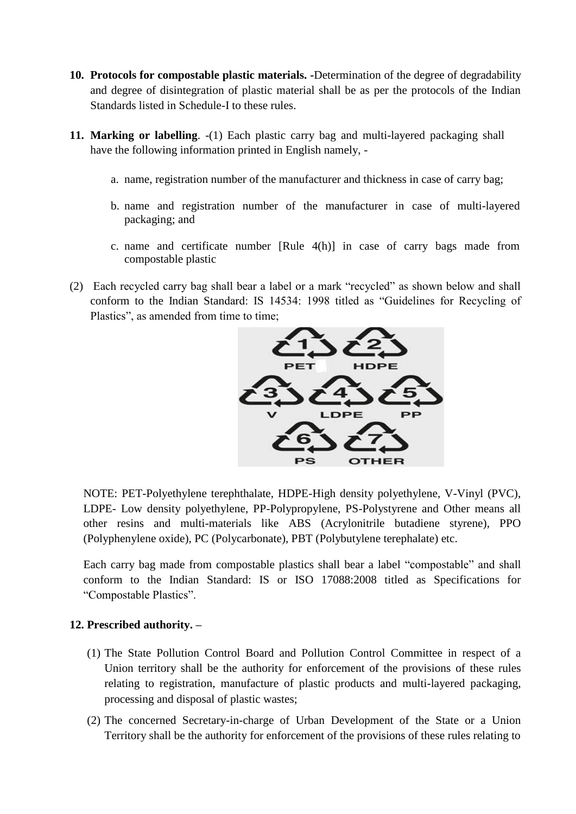- **10. Protocols for compostable plastic materials. -**Determination of the degree of degradability and degree of disintegration of plastic material shall be as per the protocols of the Indian Standards listed in Schedule-I to these rules.
- **11. Marking or labelling**. -(1) Each plastic carry bag and multi-layered packaging shall have the following information printed in English namely,
	- a. name, registration number of the manufacturer and thickness in case of carry bag;
	- b. name and registration number of the manufacturer in case of multi-layered packaging; and
	- c. name and certificate number [Rule 4(h)] in case of carry bags made from compostable plastic
- (2) Each recycled carry bag shall bear a label or a mark "recycled" as shown below and shall conform to the Indian Standard: IS 14534: 1998 titled as "Guidelines for Recycling of Plastics", as amended from time to time;



NOTE: PET-Polyethylene terephthalate, HDPE-High density polyethylene, V-Vinyl (PVC), LDPE- Low density polyethylene, PP-Polypropylene, PS-Polystyrene and Other means all other resins and multi-materials like ABS (Acrylonitrile butadiene styrene), PPO (Polyphenylene oxide), PC (Polycarbonate), PBT (Polybutylene terephalate) etc.

Each carry bag made from compostable plastics shall bear a label "compostable" and shall conform to the Indian Standard: IS or ISO 17088:2008 titled as Specifications for "Compostable Plastics".

## **12. Prescribed authority. –**

- (1) The State Pollution Control Board and Pollution Control Committee in respect of a Union territory shall be the authority for enforcement of the provisions of these rules relating to registration, manufacture of plastic products and multi-layered packaging, processing and disposal of plastic wastes;
- (2) The concerned Secretary-in-charge of Urban Development of the State or a Union Territory shall be the authority for enforcement of the provisions of these rules relating to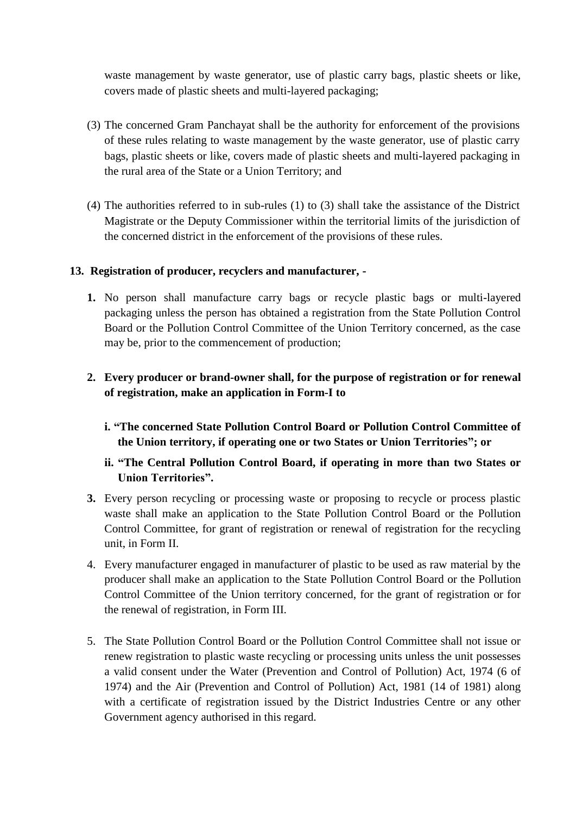waste management by waste generator, use of plastic carry bags, plastic sheets or like, covers made of plastic sheets and multi-layered packaging;

- (3) The concerned Gram Panchayat shall be the authority for enforcement of the provisions of these rules relating to waste management by the waste generator, use of plastic carry bags, plastic sheets or like, covers made of plastic sheets and multi-layered packaging in the rural area of the State or a Union Territory; and
- (4) The authorities referred to in sub-rules (1) to (3) shall take the assistance of the District Magistrate or the Deputy Commissioner within the territorial limits of the jurisdiction of the concerned district in the enforcement of the provisions of these rules.

## **13. Registration of producer, recyclers and manufacturer, -**

- **1.** No person shall manufacture carry bags or recycle plastic bags or multi-layered packaging unless the person has obtained a registration from the State Pollution Control Board or the Pollution Control Committee of the Union Territory concerned, as the case may be, prior to the commencement of production;
- **2. Every producer or brand-owner shall, for the purpose of registration or for renewal of registration, make an application in Form-I to**
	- **i. "The concerned State Pollution Control Board or Pollution Control Committee of the Union territory, if operating one or two States or Union Territories"; or**
	- **ii. "The Central Pollution Control Board, if operating in more than two States or Union Territories".**
- **3.** Every person recycling or processing waste or proposing to recycle or process plastic waste shall make an application to the State Pollution Control Board or the Pollution Control Committee, for grant of registration or renewal of registration for the recycling unit, in Form II.
- 4. Every manufacturer engaged in manufacturer of plastic to be used as raw material by the producer shall make an application to the State Pollution Control Board or the Pollution Control Committee of the Union territory concerned, for the grant of registration or for the renewal of registration, in Form III.
- 5. The State Pollution Control Board or the Pollution Control Committee shall not issue or renew registration to plastic waste recycling or processing units unless the unit possesses a valid consent under the Water (Prevention and Control of Pollution) Act, 1974 (6 of 1974) and the Air (Prevention and Control of Pollution) Act, 1981 (14 of 1981) along with a certificate of registration issued by the District Industries Centre or any other Government agency authorised in this regard.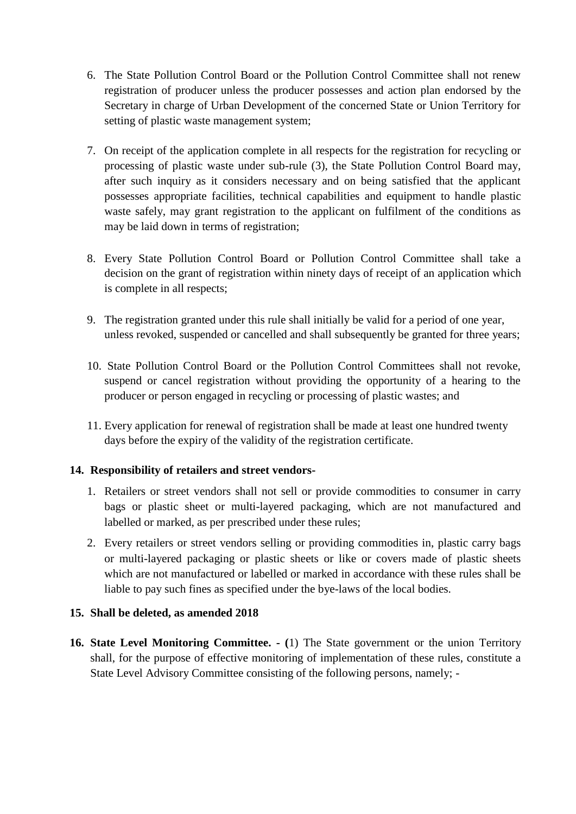- 6. The State Pollution Control Board or the Pollution Control Committee shall not renew registration of producer unless the producer possesses and action plan endorsed by the Secretary in charge of Urban Development of the concerned State or Union Territory for setting of plastic waste management system;
- 7. On receipt of the application complete in all respects for the registration for recycling or processing of plastic waste under sub-rule (3), the State Pollution Control Board may, after such inquiry as it considers necessary and on being satisfied that the applicant possesses appropriate facilities, technical capabilities and equipment to handle plastic waste safely, may grant registration to the applicant on fulfilment of the conditions as may be laid down in terms of registration;
- 8. Every State Pollution Control Board or Pollution Control Committee shall take a decision on the grant of registration within ninety days of receipt of an application which is complete in all respects;
- 9. The registration granted under this rule shall initially be valid for a period of one year, unless revoked, suspended or cancelled and shall subsequently be granted for three years;
- 10. State Pollution Control Board or the Pollution Control Committees shall not revoke, suspend or cancel registration without providing the opportunity of a hearing to the producer or person engaged in recycling or processing of plastic wastes; and
- 11. Every application for renewal of registration shall be made at least one hundred twenty days before the expiry of the validity of the registration certificate.

## **14. Responsibility of retailers and street vendors-**

- 1. Retailers or street vendors shall not sell or provide commodities to consumer in carry bags or plastic sheet or multi-layered packaging, which are not manufactured and labelled or marked, as per prescribed under these rules;
- 2. Every retailers or street vendors selling or providing commodities in, plastic carry bags or multi-layered packaging or plastic sheets or like or covers made of plastic sheets which are not manufactured or labelled or marked in accordance with these rules shall be liable to pay such fines as specified under the bye-laws of the local bodies.

## **15. Shall be deleted, as amended 2018**

**16. State Level Monitoring Committee. - (**1) The State government or the union Territory shall, for the purpose of effective monitoring of implementation of these rules, constitute a State Level Advisory Committee consisting of the following persons, namely; -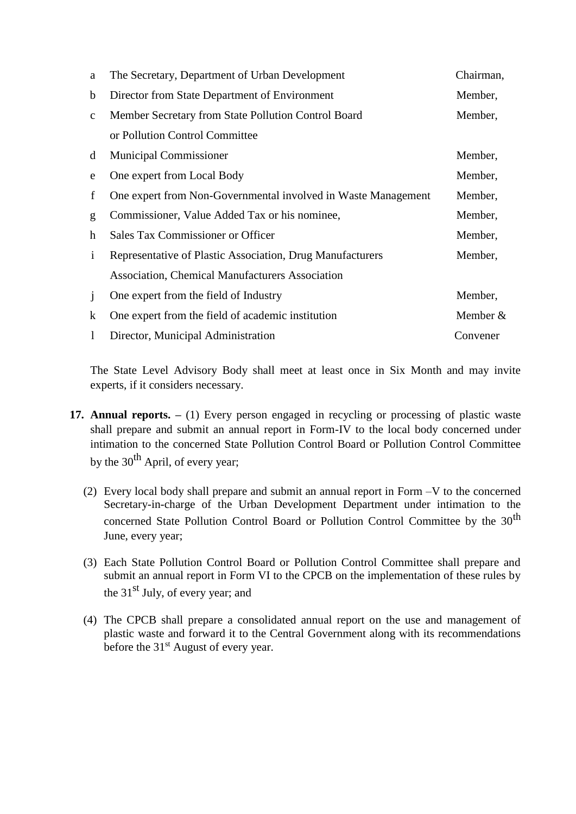| a            | The Secretary, Department of Urban Development                | Chairman,  |
|--------------|---------------------------------------------------------------|------------|
| $\mathbf b$  | Director from State Department of Environment                 | Member,    |
| $\mathbf{C}$ | Member Secretary from State Pollution Control Board           | Member,    |
|              | or Pollution Control Committee                                |            |
| d            | <b>Municipal Commissioner</b>                                 | Member,    |
| e            | One expert from Local Body                                    | Member,    |
| f            | One expert from Non-Governmental involved in Waste Management | Member,    |
| g            | Commissioner, Value Added Tax or his nominee,                 | Member,    |
| $\mathbf h$  | Sales Tax Commissioner or Officer                             | Member,    |
| $\mathbf{i}$ | Representative of Plastic Association, Drug Manufacturers     | Member,    |
|              | <b>Association, Chemical Manufacturers Association</b>        |            |
| $\mathbf{j}$ | One expert from the field of Industry                         | Member,    |
| $\bf k$      | One expert from the field of academic institution             | Member $&$ |
| $\mathbf{l}$ | Director, Municipal Administration                            | Convener   |

The State Level Advisory Body shall meet at least once in Six Month and may invite experts, if it considers necessary.

- **17. Annual reports. –** (1) Every person engaged in recycling or processing of plastic waste shall prepare and submit an annual report in Form-IV to the local body concerned under intimation to the concerned State Pollution Control Board or Pollution Control Committee by the  $30<sup>th</sup>$  April, of every year;
	- (2) Every local body shall prepare and submit an annual report in Form –V to the concerned Secretary-in-charge of the Urban Development Department under intimation to the concerned State Pollution Control Board or Pollution Control Committee by the 30<sup>th</sup> June, every year;
	- (3) Each State Pollution Control Board or Pollution Control Committee shall prepare and submit an annual report in Form VI to the CPCB on the implementation of these rules by the  $31<sup>st</sup>$  July, of every year; and
	- (4) The CPCB shall prepare a consolidated annual report on the use and management of plastic waste and forward it to the Central Government along with its recommendations before the  $31<sup>st</sup>$  August of every year.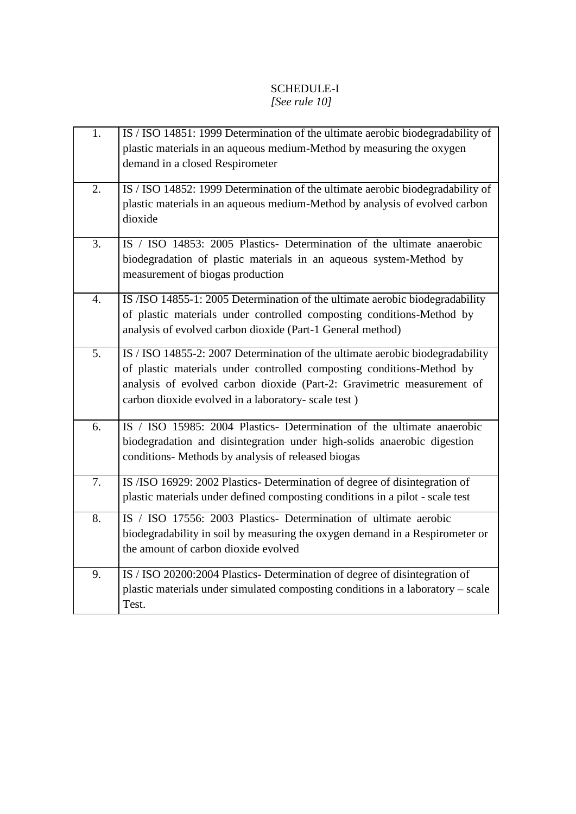# SCHEDULE-I *[See rule 10]*

| 1.               | IS / ISO 14851: 1999 Determination of the ultimate aerobic biodegradability of<br>plastic materials in an aqueous medium-Method by measuring the oxygen<br>demand in a closed Respirometer                                                                                              |
|------------------|-----------------------------------------------------------------------------------------------------------------------------------------------------------------------------------------------------------------------------------------------------------------------------------------|
| 2.               | IS / ISO 14852: 1999 Determination of the ultimate aerobic biodegradability of<br>plastic materials in an aqueous medium-Method by analysis of evolved carbon<br>dioxide                                                                                                                |
| $\overline{3}$ . | IS / ISO 14853: 2005 Plastics- Determination of the ultimate anaerobic<br>biodegradation of plastic materials in an aqueous system-Method by<br>measurement of biogas production                                                                                                        |
| $\overline{4}$ . | IS /ISO 14855-1: 2005 Determination of the ultimate aerobic biodegradability<br>of plastic materials under controlled composting conditions-Method by<br>analysis of evolved carbon dioxide (Part-1 General method)                                                                     |
| $\overline{5}$ . | IS / ISO 14855-2: 2007 Determination of the ultimate aerobic biodegradability<br>of plastic materials under controlled composting conditions-Method by<br>analysis of evolved carbon dioxide (Part-2: Gravimetric measurement of<br>carbon dioxide evolved in a laboratory- scale test) |
| 6.               | IS / ISO 15985: 2004 Plastics- Determination of the ultimate anaerobic<br>biodegradation and disintegration under high-solids anaerobic digestion<br>conditions- Methods by analysis of released biogas                                                                                 |
| 7.               | IS /ISO 16929: 2002 Plastics- Determination of degree of disintegration of<br>plastic materials under defined composting conditions in a pilot - scale test                                                                                                                             |
| 8.               | IS / ISO 17556: 2003 Plastics- Determination of ultimate aerobic<br>biodegradability in soil by measuring the oxygen demand in a Respirometer or<br>the amount of carbon dioxide evolved                                                                                                |
| 9.               | IS / ISO 20200:2004 Plastics- Determination of degree of disintegration of<br>plastic materials under simulated composting conditions in a laboratory - scale<br>Test.                                                                                                                  |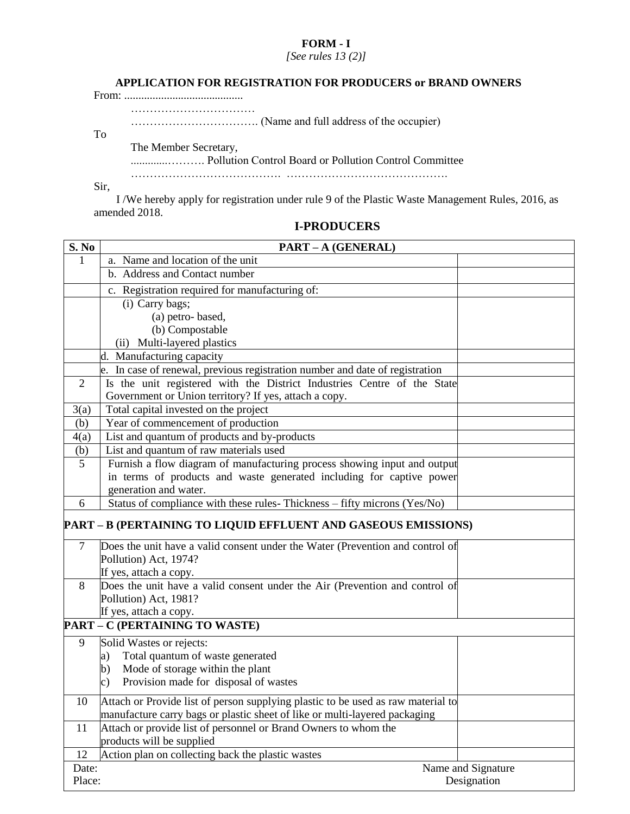### **FORM - I**

### *[See rules 13 (2)]*

### **APPLICATION FOR REGISTRATION FOR PRODUCERS or BRAND OWNERS**

From: ..........................................

…………………………… ……………………………. (Name and full address of the occupier)

To

The Member Secretary,

.............………. Pollution Control Board or Pollution Control Committee

…………………………………. …………………………………….

Sir,

I /We hereby apply for registration under rule 9 of the Plastic Waste Management Rules, 2016, as amended 2018.

### **I-PRODUCERS**

| S. No  | <b>PART - A (GENERAL)</b>                                                        |                    |
|--------|----------------------------------------------------------------------------------|--------------------|
| 1      | a. Name and location of the unit                                                 |                    |
|        | b. Address and Contact number                                                    |                    |
|        | c. Registration required for manufacturing of:                                   |                    |
|        | (i) Carry bags;                                                                  |                    |
|        | (a) petro-based,                                                                 |                    |
|        | (b) Compostable                                                                  |                    |
|        | (ii) Multi-layered plastics                                                      |                    |
|        | d. Manufacturing capacity                                                        |                    |
|        | e. In case of renewal, previous registration number and date of registration     |                    |
| 2      | Is the unit registered with the District Industries Centre of the State          |                    |
|        | Government or Union territory? If yes, attach a copy.                            |                    |
| 3(a)   | Total capital invested on the project                                            |                    |
| (b)    | Year of commencement of production                                               |                    |
| 4(a)   | List and quantum of products and by-products                                     |                    |
| (b)    | List and quantum of raw materials used                                           |                    |
| 5      | Furnish a flow diagram of manufacturing process showing input and output         |                    |
|        | in terms of products and waste generated including for captive power             |                    |
|        | generation and water.                                                            |                    |
| 6      | Status of compliance with these rules-Thickness - fifty microns (Yes/No)         |                    |
|        | PART - B (PERTAINING TO LIQUID EFFLUENT AND GASEOUS EMISSIONS)                   |                    |
| 7      | Does the unit have a valid consent under the Water (Prevention and control of    |                    |
|        | Pollution) Act, 1974?                                                            |                    |
|        | If yes, attach a copy.                                                           |                    |
| 8      | Does the unit have a valid consent under the Air (Prevention and control of      |                    |
|        | Pollution) Act, 1981?                                                            |                    |
|        | If yes, attach a copy.                                                           |                    |
|        | PART - C (PERTAINING TO WASTE)                                                   |                    |
| 9      | Solid Wastes or rejects:                                                         |                    |
|        | Total quantum of waste generated<br>a)                                           |                    |
|        | Mode of storage within the plant<br>b)                                           |                    |
|        | Provision made for disposal of wastes<br>c)                                      |                    |
| 10     | Attach or Provide list of person supplying plastic to be used as raw material to |                    |
|        | manufacture carry bags or plastic sheet of like or multi-layered packaging       |                    |
| 11     | Attach or provide list of personnel or Brand Owners to whom the                  |                    |
|        | products will be supplied                                                        |                    |
| 12     | Action plan on collecting back the plastic wastes                                |                    |
| Date:  |                                                                                  | Name and Signature |
| Place: |                                                                                  | Designation        |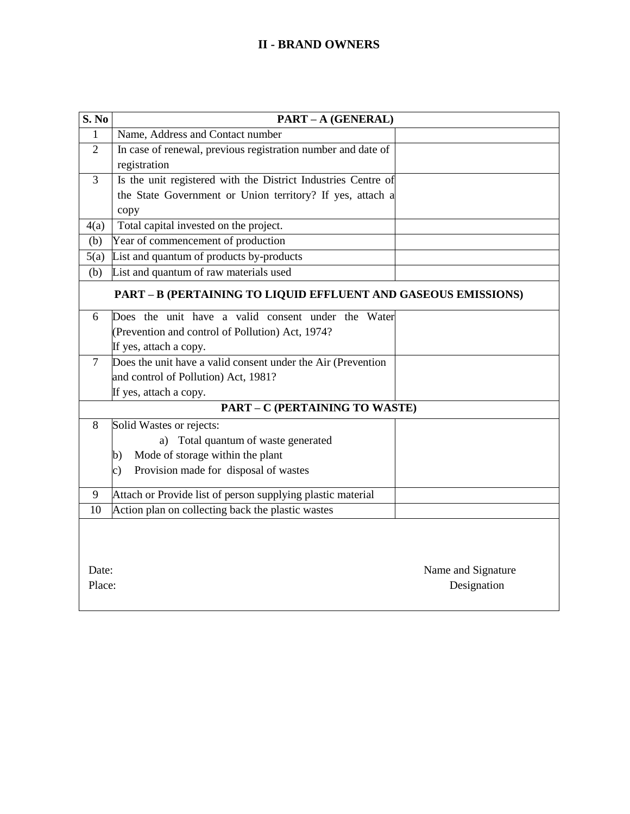## **II - BRAND OWNERS**

| S. No          | <b>PART - A (GENERAL)</b>                                      |                    |
|----------------|----------------------------------------------------------------|--------------------|
| 1              | Name, Address and Contact number                               |                    |
| $\overline{2}$ | In case of renewal, previous registration number and date of   |                    |
|                | registration                                                   |                    |
| 3              | Is the unit registered with the District Industries Centre of  |                    |
|                | the State Government or Union territory? If yes, attach a      |                    |
|                | copy                                                           |                    |
| 4(a)           | Total capital invested on the project.                         |                    |
| (b)            | Year of commencement of production                             |                    |
| 5(a)           | List and quantum of products by-products                       |                    |
| (b)            | List and quantum of raw materials used                         |                    |
|                | PART - B (PERTAINING TO LIQUID EFFLUENT AND GASEOUS EMISSIONS) |                    |
| 6              | Does the unit have a valid consent under the Water             |                    |
|                | (Prevention and control of Pollution) Act, 1974?               |                    |
|                | If yes, attach a copy.                                         |                    |
| $\tau$         | Does the unit have a valid consent under the Air (Prevention   |                    |
|                | and control of Pollution) Act, 1981?                           |                    |
|                | If yes, attach a copy.                                         |                    |
|                | <b>PART - C (PERTAINING TO WASTE)</b>                          |                    |
| 8              | Solid Wastes or rejects:                                       |                    |
|                | a) Total quantum of waste generated                            |                    |
|                | Mode of storage within the plant<br>b)                         |                    |
|                | Provision made for disposal of wastes<br>$\mathbf{c})$         |                    |
| 9              | Attach or Provide list of person supplying plastic material    |                    |
| 10             | Action plan on collecting back the plastic wastes              |                    |
|                |                                                                |                    |
| Date:          |                                                                | Name and Signature |
| Place:         |                                                                | Designation        |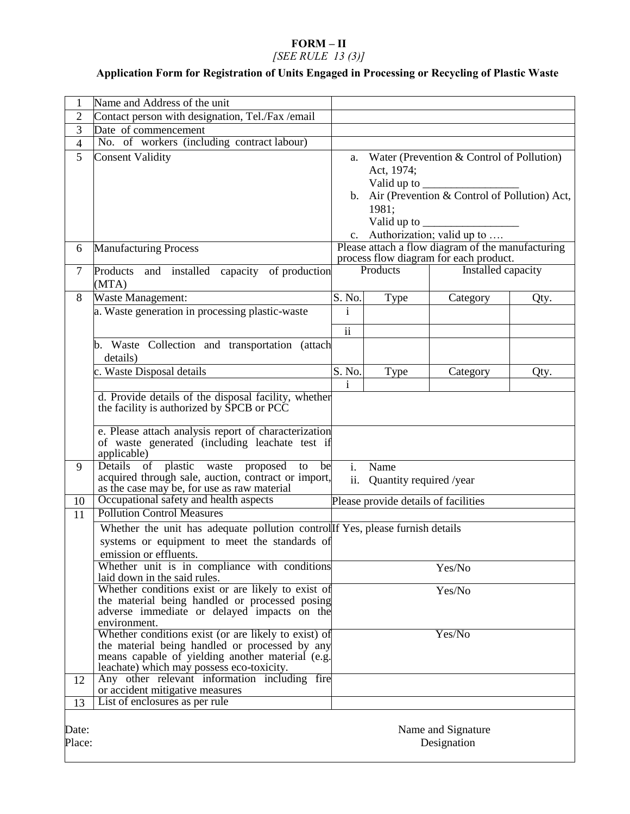# **FORM – II**

#### *[SEE RULE 13 (3)]*

# **Application Form for Registration of Units Engaged in Processing or Recycling of Plastic Waste**

| 1              | Name and Address of the unit                                                                                                                                                                            |                          |                                      |                                                   |      |
|----------------|---------------------------------------------------------------------------------------------------------------------------------------------------------------------------------------------------------|--------------------------|--------------------------------------|---------------------------------------------------|------|
| $\sqrt{2}$     | Contact person with designation, Tel./Fax /email                                                                                                                                                        |                          |                                      |                                                   |      |
| $\overline{3}$ | Date of commencement                                                                                                                                                                                    |                          |                                      |                                                   |      |
| $\overline{4}$ | No. of workers (including contract labour)                                                                                                                                                              |                          |                                      |                                                   |      |
| 5              | <b>Consent Validity</b>                                                                                                                                                                                 | a.                       |                                      | Water (Prevention & Control of Pollution)         |      |
|                |                                                                                                                                                                                                         |                          | Act, 1974;                           |                                                   |      |
|                |                                                                                                                                                                                                         |                          | Valid up to                          |                                                   |      |
|                |                                                                                                                                                                                                         |                          |                                      | b. Air (Prevention & Control of Pollution) Act,   |      |
|                |                                                                                                                                                                                                         |                          | 1981;                                |                                                   |      |
|                |                                                                                                                                                                                                         |                          | Valid up to _                        |                                                   |      |
|                |                                                                                                                                                                                                         |                          |                                      | c. Authorization; valid up to                     |      |
| 6              | <b>Manufacturing Process</b>                                                                                                                                                                            |                          |                                      | Please attach a flow diagram of the manufacturing |      |
|                |                                                                                                                                                                                                         |                          |                                      | process flow diagram for each product.            |      |
| $\overline{7}$ | and installed capacity of production<br>Products<br>(MTA)                                                                                                                                               |                          | Products                             | Installed capacity                                |      |
| 8              | Waste Management:                                                                                                                                                                                       | S. No.                   | Type                                 | Category                                          | Qty. |
|                | a. Waste generation in processing plastic-waste                                                                                                                                                         | i                        |                                      |                                                   |      |
|                |                                                                                                                                                                                                         | $\overline{\textbf{ii}}$ |                                      |                                                   |      |
|                | b. Waste Collection and transportation (attach                                                                                                                                                          |                          |                                      |                                                   |      |
|                | details)                                                                                                                                                                                                |                          |                                      |                                                   |      |
|                | c. Waste Disposal details                                                                                                                                                                               | S. No.                   | <b>Type</b>                          | Category                                          | Qty. |
|                |                                                                                                                                                                                                         | $\mathbf{i}$             |                                      |                                                   |      |
|                | d. Provide details of the disposal facility, whether<br>the facility is authorized by SPCB or PCC                                                                                                       |                          |                                      |                                                   |      |
|                | e. Please attach analysis report of characterization<br>of waste generated (including leachate test if<br>applicable)                                                                                   |                          |                                      |                                                   |      |
| 9              | Details of plastic waste proposed<br>be<br>to<br>acquired through sale, auction, contract or import,                                                                                                    | $\mathbf{i}$ .<br>ii.    | Name<br>Quantity required /year      |                                                   |      |
|                | as the case may be, for use as raw material                                                                                                                                                             |                          |                                      |                                                   |      |
| 10             | Occupational safety and health aspects                                                                                                                                                                  |                          | Please provide details of facilities |                                                   |      |
| 11             | <b>Pollution Control Measures</b>                                                                                                                                                                       |                          |                                      |                                                   |      |
|                | Whether the unit has adequate pollution controll if Yes, please furnish details<br>systems or equipment to meet the standards of<br>emission or effluents.                                              |                          |                                      |                                                   |      |
|                | Whether unit is in compliance with conditions<br>laid down in the said rules.                                                                                                                           |                          |                                      | Yes/No                                            |      |
|                | Whether conditions exist or are likely to exist of<br>the material being handled or processed posing<br>adverse immediate or delayed impacts on the<br>environment.                                     |                          |                                      | Yes/No                                            |      |
|                | Whether conditions exist (or are likely to exist) of<br>the material being handled or processed by any<br>means capable of yielding another material (e.g.<br>leachate) which may possess eco-toxicity. |                          |                                      | Yes/No                                            |      |
| 12             | Any other relevant information including fire<br>or accident mitigative measures                                                                                                                        |                          |                                      |                                                   |      |
| 13             | List of enclosures as per rule                                                                                                                                                                          |                          |                                      |                                                   |      |
|                |                                                                                                                                                                                                         |                          |                                      |                                                   |      |
| Date:          |                                                                                                                                                                                                         |                          |                                      | Name and Signature                                |      |
| Place:         |                                                                                                                                                                                                         |                          |                                      | Designation                                       |      |
|                |                                                                                                                                                                                                         |                          |                                      |                                                   |      |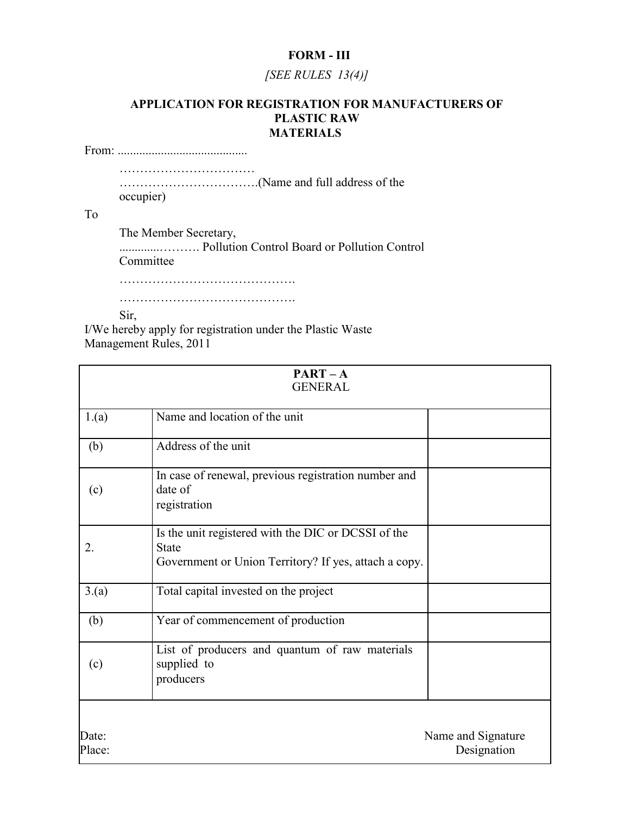### **FORM - III**

# *[SEE RULES 13(4)]*

### **APPLICATION FOR REGISTRATION FOR MANUFACTURERS OF PLASTIC RAW MATERIALS**

From: ..........................................

…………………………… …………………………….(Name and full address of the occupier)

To

The Member Secretary,

.............………. Pollution Control Board or Pollution Control Committee

……………………………………. …………………………………….

Sir,

I/We hereby apply for registration under the Plastic Waste Management Rules, 2011

|                 | $PART-A$<br><b>GENERAL</b>                                                                                                   |                                   |
|-----------------|------------------------------------------------------------------------------------------------------------------------------|-----------------------------------|
| 1.(a)           | Name and location of the unit                                                                                                |                                   |
| (b)             | Address of the unit                                                                                                          |                                   |
| (c)             | In case of renewal, previous registration number and<br>date of<br>registration                                              |                                   |
| 2.              | Is the unit registered with the DIC or DCSSI of the<br><b>State</b><br>Government or Union Territory? If yes, attach a copy. |                                   |
| 3(a)            | Total capital invested on the project                                                                                        |                                   |
| (b)             | Year of commencement of production                                                                                           |                                   |
| (c)             | List of producers and quantum of raw materials<br>supplied to<br>producers                                                   |                                   |
| Date:<br>Place: |                                                                                                                              | Name and Signature<br>Designation |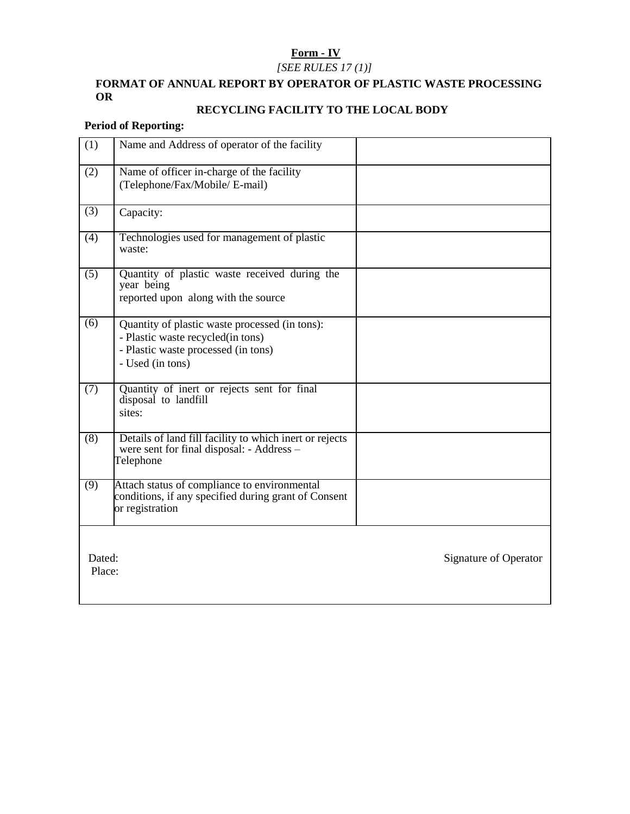## **Form - IV**

## *[SEE RULES 17 (1)]*

## **FORMAT OF ANNUAL REPORT BY OPERATOR OF PLASTIC WASTE PROCESSING OR**

# **RECYCLING FACILITY TO THE LOCAL BODY**

## **Period of Reporting:**

| (1)              | Name and Address of operator of the facility                                                                                                   |                       |
|------------------|------------------------------------------------------------------------------------------------------------------------------------------------|-----------------------|
| (2)              | Name of officer in-charge of the facility<br>(Telephone/Fax/Mobile/ E-mail)                                                                    |                       |
| (3)              | Capacity:                                                                                                                                      |                       |
| (4)              | Technologies used for management of plastic<br>waste:                                                                                          |                       |
| $\overline{(5)}$ | Quantity of plastic waste received during the<br>year being<br>reported upon along with the source                                             |                       |
| (6)              | Quantity of plastic waste processed (in tons):<br>- Plastic waste recycled(in tons)<br>- Plastic waste processed (in tons)<br>- Used (in tons) |                       |
| (7)              | Quantity of inert or rejects sent for final<br>disposal to landfill<br>sites:                                                                  |                       |
| (8)              | Details of land fill facility to which inert or rejects<br>were sent for final disposal: - Address -<br>Telephone                              |                       |
| $\overline{(9)}$ | Attach status of compliance to environmental<br>conditions, if any specified during grant of Consent<br>or registration                        |                       |
| Dated:<br>Place: |                                                                                                                                                | Signature of Operator |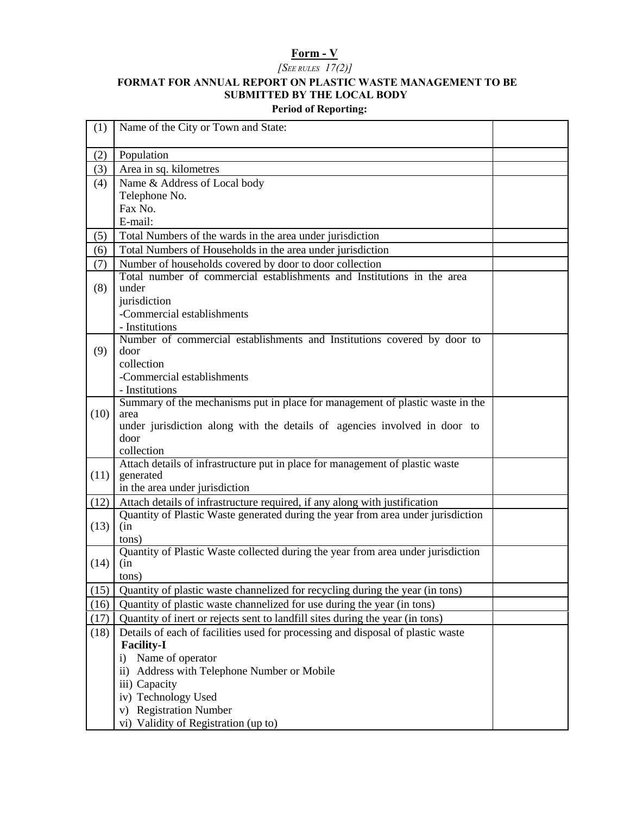#### **Form - V**

*[SEE RULES 17(2)]*

# **FORMAT FOR ANNUAL REPORT ON PLASTIC WASTE MANAGEMENT TO BE SUBMITTED BY THE LOCAL BODY**

### **Period of Reporting:**

| (1)  | Name of the City or Town and State:                                                                                                                            |  |
|------|----------------------------------------------------------------------------------------------------------------------------------------------------------------|--|
| (2)  | Population                                                                                                                                                     |  |
| (3)  | Area in sq. kilometres                                                                                                                                         |  |
| (4)  | Name & Address of Local body                                                                                                                                   |  |
|      | Telephone No.                                                                                                                                                  |  |
|      | Fax No.                                                                                                                                                        |  |
|      | E-mail:                                                                                                                                                        |  |
| (5)  | Total Numbers of the wards in the area under jurisdiction                                                                                                      |  |
| (6)  | Total Numbers of Households in the area under jurisdiction                                                                                                     |  |
| (7)  | Number of households covered by door to door collection                                                                                                        |  |
|      | Total number of commercial establishments and Institutions in the area                                                                                         |  |
| (8)  | under                                                                                                                                                          |  |
|      | jurisdiction                                                                                                                                                   |  |
|      | -Commercial establishments                                                                                                                                     |  |
|      | - Institutions                                                                                                                                                 |  |
| (9)  | Number of commercial establishments and Institutions covered by door to<br>door                                                                                |  |
|      | collection                                                                                                                                                     |  |
|      | -Commercial establishments                                                                                                                                     |  |
|      | - Institutions                                                                                                                                                 |  |
|      | Summary of the mechanisms put in place for management of plastic waste in the                                                                                  |  |
| (10) | area                                                                                                                                                           |  |
|      | under jurisdiction along with the details of agencies involved in door to                                                                                      |  |
|      | door                                                                                                                                                           |  |
|      | collection                                                                                                                                                     |  |
|      | Attach details of infrastructure put in place for management of plastic waste                                                                                  |  |
| (11) | generated<br>in the area under jurisdiction                                                                                                                    |  |
|      |                                                                                                                                                                |  |
| (12) | Attach details of infrastructure required, if any along with justification<br>Quantity of Plastic Waste generated during the year from area under jurisdiction |  |
| (13) | (in                                                                                                                                                            |  |
|      | tons)                                                                                                                                                          |  |
|      | Quantity of Plastic Waste collected during the year from area under jurisdiction                                                                               |  |
| (14) | (in                                                                                                                                                            |  |
|      | tons)                                                                                                                                                          |  |
| (15) | Quantity of plastic waste channelized for recycling during the year (in tons)                                                                                  |  |
| (16) | Quantity of plastic waste channelized for use during the year (in tons)                                                                                        |  |
| (17) | Quantity of inert or rejects sent to landfill sites during the year (in tons)                                                                                  |  |
| (18) | Details of each of facilities used for processing and disposal of plastic waste                                                                                |  |
|      | <b>Facility-I</b>                                                                                                                                              |  |
|      | Name of operator<br>$\rm i)$                                                                                                                                   |  |
|      | Address with Telephone Number or Mobile<br>$\rm ii)$                                                                                                           |  |
|      | iii) Capacity                                                                                                                                                  |  |
|      | iv) Technology Used                                                                                                                                            |  |
|      | <b>Registration Number</b><br>V)                                                                                                                               |  |
|      | vi) Validity of Registration (up to)                                                                                                                           |  |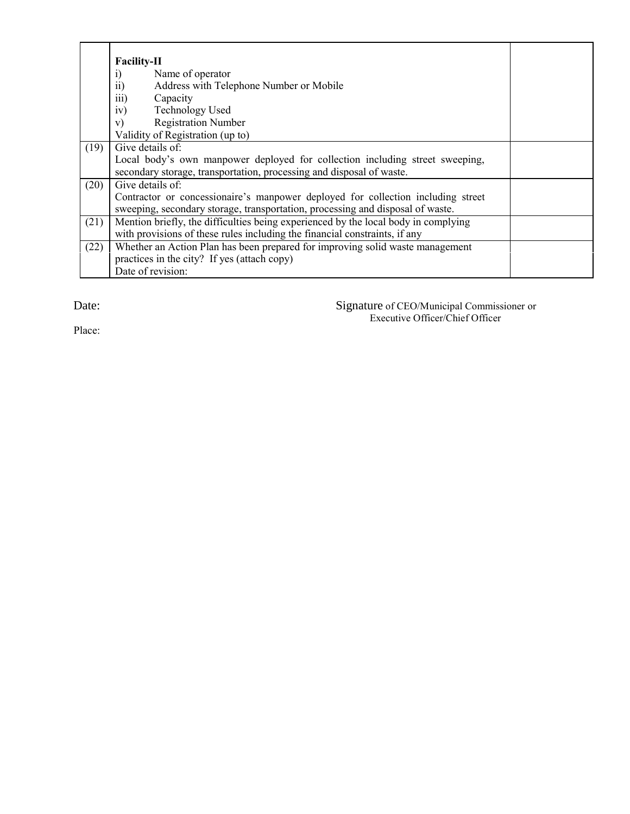|      | <b>Facility-II</b>                                                                 |  |
|------|------------------------------------------------------------------------------------|--|
|      | Name of operator<br>1)                                                             |  |
|      | $\overline{11}$<br>Address with Telephone Number or Mobile                         |  |
|      | iii)<br>Capacity                                                                   |  |
|      | iv)<br>Technology Used                                                             |  |
|      | <b>Registration Number</b><br>V)                                                   |  |
|      | Validity of Registration (up to)                                                   |  |
| (19) | Give details of:                                                                   |  |
|      | Local body's own manpower deployed for collection including street sweeping,       |  |
|      | secondary storage, transportation, processing and disposal of waste.               |  |
| (20) | Give details of:                                                                   |  |
|      | Contractor or concessionaire's manpower deployed for collection including street   |  |
|      | sweeping, secondary storage, transportation, processing and disposal of waste.     |  |
| (21) | Mention briefly, the difficulties being experienced by the local body in complying |  |
|      | with provisions of these rules including the financial constraints, if any         |  |
| (22) | Whether an Action Plan has been prepared for improving solid waste management      |  |
|      | practices in the city? If yes (attach copy)                                        |  |
|      | Date of revision:                                                                  |  |

Date: Signature of CEO/Municipal Commissioner or Executive Officer/Chief Officer

Place: